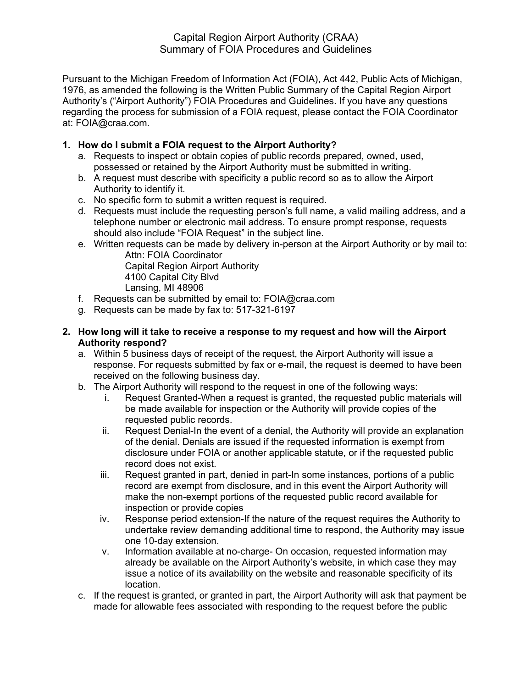Pursuant to the Michigan Freedom of Information Act (FOIA), Act 442, Public Acts of Michigan, 1976, as amended the following is the Written Public Summary of the Capital Region Airport Authority's ("Airport Authority") FOIA Procedures and Guidelines. If you have any questions regarding the process for submission of a FOIA request, please contact the FOIA Coordinator at: FOIA@craa.com.

# **1. How do I submit a FOIA request to the Airport Authority?**

- a. Requests to inspect or obtain copies of public records prepared, owned, used, possessed or retained by the Airport Authority must be submitted in writing.
- b. A request must describe with specificity a public record so as to allow the Airport Authority to identify it.
- c. No specific form to submit a written request is required.
- d. Requests must include the requesting person's full name, a valid mailing address, and a telephone number or electronic mail address. To ensure prompt response, requests should also include "FOIA Request" in the subject line.
- e. Written requests can be made by delivery in-person at the Airport Authority or by mail to: Attn: FOIA Coordinator

 Capital Region Airport Authority 4100 Capital City Blvd Lansing, MI 48906

- f. Requests can be submitted by email to: FOIA@craa.com
- g. Requests can be made by fax to: 517-321-6197

## **2. How long will it take to receive a response to my request and how will the Airport Authority respond?**

- a. Within 5 business days of receipt of the request, the Airport Authority will issue a response. For requests submitted by fax or e-mail, the request is deemed to have been received on the following business day.
- b. The Airport Authority will respond to the request in one of the following ways:
	- i. Request Granted-When a request is granted, the requested public materials will be made available for inspection or the Authority will provide copies of the requested public records.
	- ii. Request Denial-In the event of a denial, the Authority will provide an explanation of the denial. Denials are issued if the requested information is exempt from disclosure under FOIA or another applicable statute, or if the requested public record does not exist.
	- iii. Request granted in part, denied in part-In some instances, portions of a public record are exempt from disclosure, and in this event the Airport Authority will make the non-exempt portions of the requested public record available for inspection or provide copies
	- iv. Response period extension-If the nature of the request requires the Authority to undertake review demanding additional time to respond, the Authority may issue one 10-day extension.
	- v. Information available at no-charge- On occasion, requested information may already be available on the Airport Authority's website, in which case they may issue a notice of its availability on the website and reasonable specificity of its location.
- c. If the request is granted, or granted in part, the Airport Authority will ask that payment be made for allowable fees associated with responding to the request before the public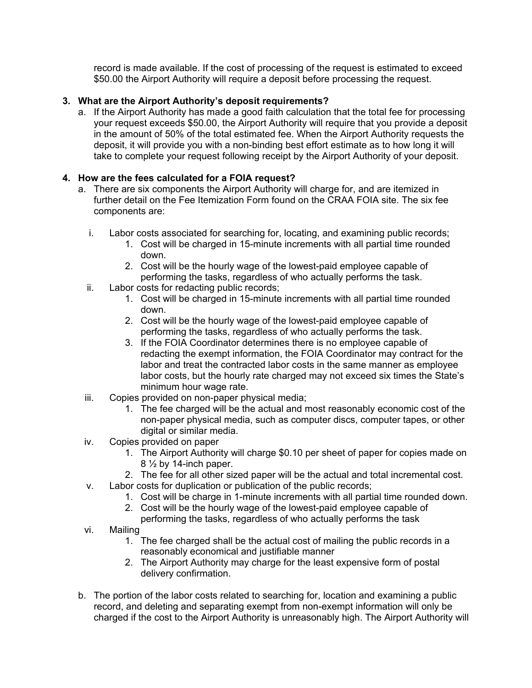record is made available. If the cost of processing of the request is estimated to exceed \$50.00 the Airport Authority will require a deposit before processing the request.

## **3. What are the Airport Authority's deposit requirements?**

a. If the Airport Authority has made a good faith calculation that the total fee for processing your request exceeds \$50.00, the Airport Authority will require that you provide a deposit in the amount of 50% of the total estimated fee. When the Airport Authority requests the deposit, it will provide you with a non-binding best effort estimate as to how long it will take to complete your request following receipt by the Airport Authority of your deposit.

## **4. How are the fees calculated for a FOIA request?**

- a. There are six components the Airport Authority will charge for, and are itemized in further detail on the Fee Itemization Form found on the CRAA FOIA site. The six fee components are:
	- i. Labor costs associated for searching for, locating, and examining public records;
		- 1. Cost will be charged in 15-minute increments with all partial time rounded down.
		- 2. Cost will be the hourly wage of the lowest-paid employee capable of performing the tasks, regardless of who actually performs the task.
	- ii. Labor costs for redacting public records;
		- 1. Cost will be charged in 15-minute increments with all partial time rounded down.
		- 2. Cost will be the hourly wage of the lowest-paid employee capable of performing the tasks, regardless of who actually performs the task.
		- 3. If the FOIA Coordinator determines there is no employee capable of redacting the exempt information, the FOIA Coordinator may contract for the labor and treat the contracted labor costs in the same manner as employee labor costs, but the hourly rate charged may not exceed six times the State's minimum hour wage rate.
	- iii. Copies provided on non-paper physical media;
		- 1. The fee charged will be the actual and most reasonably economic cost of the non-paper physical media, such as computer discs, computer tapes, or other digital or similar media.
	- iv. Copies provided on paper
		- 1. The Airport Authority will charge \$0.10 per sheet of paper for copies made on  $8\frac{1}{2}$  by 14-inch paper.
		- 2. The fee for all other sized paper will be the actual and total incremental cost.
	- v. Labor costs for duplication or publication of the public records;
		- 1. Cost will be charge in 1-minute increments with all partial time rounded down.
		- 2. Cost will be the hourly wage of the lowest-paid employee capable of
		- performing the tasks, regardless of who actually performs the task
	- vi. Mailing
		- 1. The fee charged shall be the actual cost of mailing the public records in a reasonably economical and justifiable manner
		- 2. The Airport Authority may charge for the least expensive form of postal delivery confirmation.
- b. The portion of the labor costs related to searching for, location and examining a public record, and deleting and separating exempt from non-exempt information will only be charged if the cost to the Airport Authority is unreasonably high. The Airport Authority will